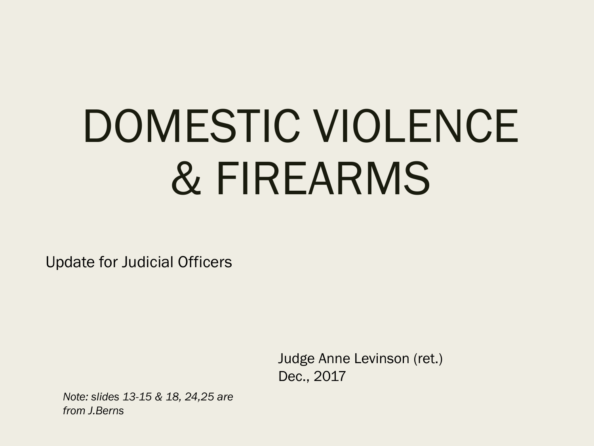# DOMESTIC VIOLENCE & FIREARMS

Update for Judicial Officers

Judge Anne Levinson (ret.) Dec., 2017

*Note: slides 13-15 & 18, 24,25 are from J.Berns*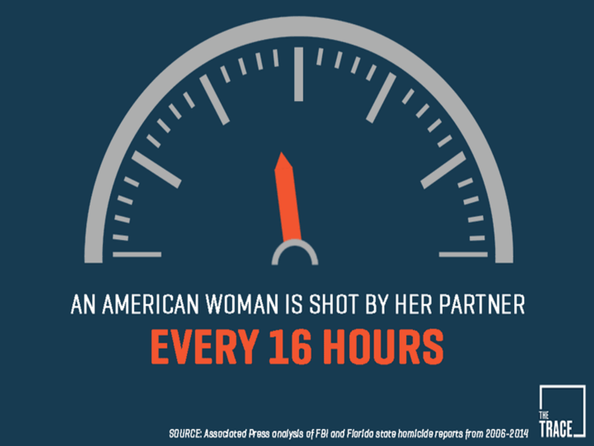

## AN AMERICAN WOMAN IS SHOT BY HER PARTNER **EVERY 16 HOURS**



SOURCE: Associated Press analysis of FBI and Flarida state homicide reports from 2006-2014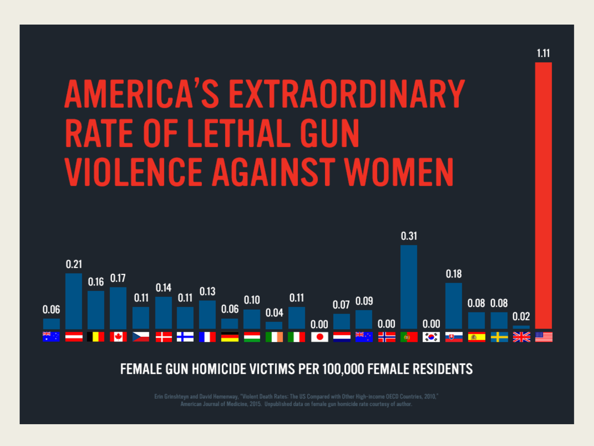## **AMERICA'S EXTRAORDINARY RATE OF LETHAL GUN** *VIOLENCE AGAINST WOMEN*



#### FEMALE GUN HOMICIDE VICTIMS PER 100,000 FEMALE RESIDENTS

Erin Grinshteyn and David Hemenway, "Violent Death Rates: The US Compared with Other High-income OECD Countries, 2010," American Journal of Medicine, 2015. Unpublished data on female gun homicide rate courtesy of author.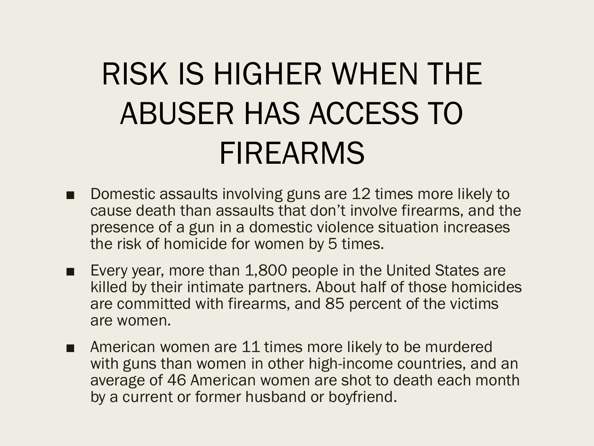## RISK IS HIGHER WHEN THE ABUSER HAS ACCESS TO FIREARMS

- Domestic assaults involving guns are 12 times more likely to cause death than assaults that don't involve firearms, and the presence of a gun in a domestic violence situation increases the risk of homicide for women by 5 times.
- Every year, more than 1,800 people in the United States are killed by their intimate partners. About half of those homicides are committed with firearms, and 85 percent of the victims are women.
- American women are 11 times more likely to be murdered with guns than women in other high-income countries, and an average of 46 American women are shot to death each month by a current or former husband or boyfriend.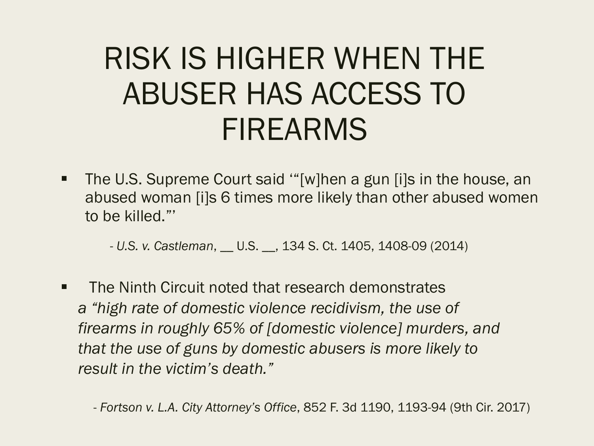#### RISK IS HIGHER WHEN THE ABUSER HAS ACCESS TO FIREARMS

■ The U.S. Supreme Court said "[w]hen a gun [i]s in the house, an abused woman [i]s 6 times more likely than other abused women to be killed."'

- *U.S. v. Castleman*, \_\_ U.S. \_\_, 134 S. Ct. 1405, 1408-09 (2014)

■ The Ninth Circuit noted that research demonstrates *a "high rate of domestic violence recidivism, the use of firearms in roughly 65% of [domestic violence] murders, and that the use of guns by domestic abusers is more likely to result in the victim's death."* 

- *Fortson v. L.A. City Attorney's Office*, 852 F. 3d 1190, 1193-94 (9th Cir. 2017)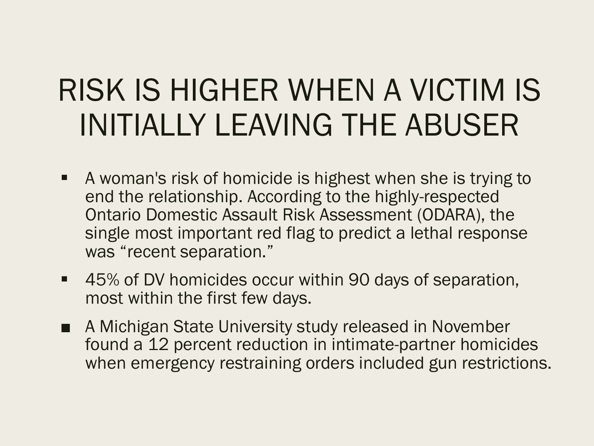## RISK IS HIGHER WHEN A VICTIM IS INITIALLY LEAVING THE ABUSER

- § A woman's risk of homicide is highest when she is trying to end the relationship. According to the highly-respected Ontario Domestic Assault Risk Assessment (ODARA), the single most important red flag to predict a lethal response was "recent separation."
- 45% of DV homicides occur within 90 days of separation, most within the first few days.
- A Michigan State University study released in November found a 12 percent reduction in intimate-partner homicides when emergency restraining orders included gun restrictions.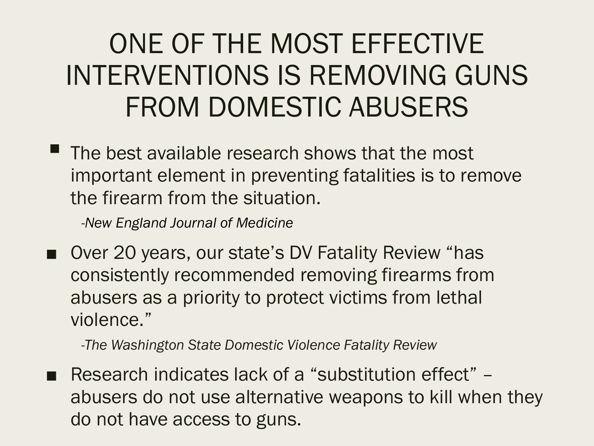#### ONE OF THE MOST EFFECTIVE INTERVENTIONS IS REMOVING GUNS FROM DOMESTIC ABUSERS

 $\textcolor{blue}{\bullet}$  The best available research shows that the most important element in preventing fatalities is to remove the firearm from the situation.

-*New England Journal of Medicine*

Over 20 years, our state's DV Fatality Review "has consistently recommended removing firearms from abusers as a priority to protect victims from lethal violence."

*-The Washington State Domestic Violence Fatality Review* 

■ Research indicates lack of a "substitution effect" – abusers do not use alternative weapons to kill when they do not have access to guns.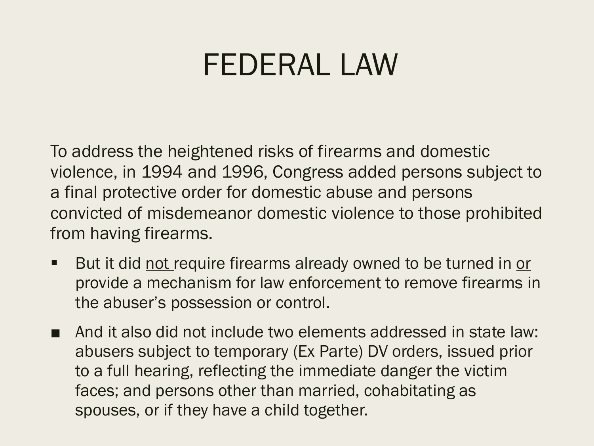#### FEDERAL LAW

To address the heightened risks of firearms and domestic violence, in 1994 and 1996, Congress added persons subject to a final protective order for domestic abuse and persons convicted of misdemeanor domestic violence to those prohibited from having firearms.

- But it did not require firearms already owned to be turned in or provide a mechanism for law enforcement to remove firearms in the abuser's possession or control.
- And it also did not include two elements addressed in state law: abusers subject to temporary (Ex Parte) DV orders, issued prior to a full hearing, reflecting the immediate danger the victim faces; and persons other than married, cohabitating as spouses, or if they have a child together.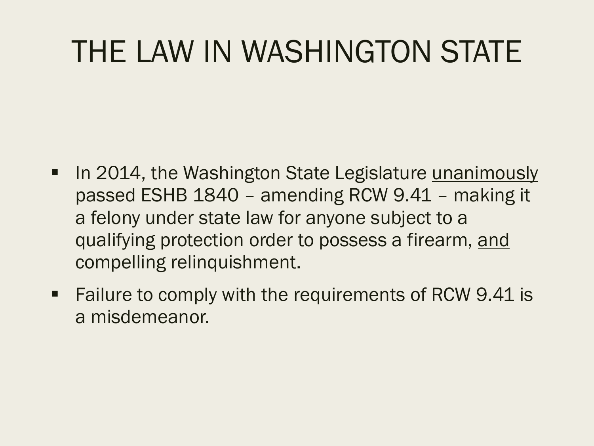## THE LAW IN WASHINGTON STATE

- In 2014, the Washington State Legislature unanimously passed ESHB 1840 – amending RCW 9.41 – making it a felony under state law for anyone subject to a qualifying protection order to possess a firearm, and compelling relinquishment.
- Failure to comply with the requirements of RCW 9.41 is a misdemeanor.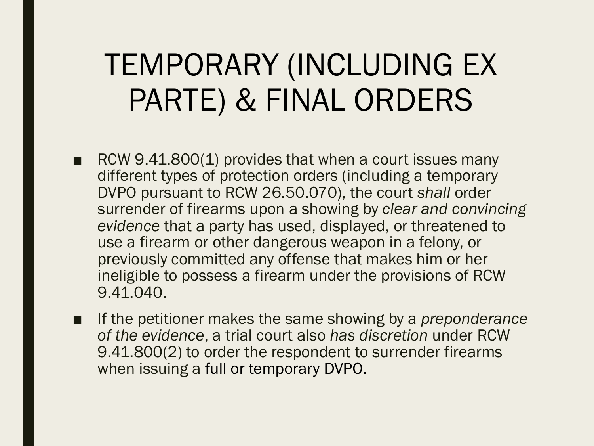#### TEMPORARY (INCLUDING EX PARTE) & FINAL ORDERS

- RCW 9.41.800(1) provides that when a court issues many different types of protection orders (including a temporary DVPO pursuant to RCW 26.50.070), the court *shall* order surrender of firearms upon a showing by *clear and convincing evidence* that a party has used, displayed, or threatened to use a firearm or other dangerous weapon in a felony, or previously committed any offense that makes him or her ineligible to possess a firearm under the provisions of RCW 9.41.040.
- If the petitioner makes the same showing by a *preponderance of the evidence*, a trial court also *has discretion* under RCW 9.41.800(2) to order the respondent to surrender firearms when issuing a full or temporary DVPO.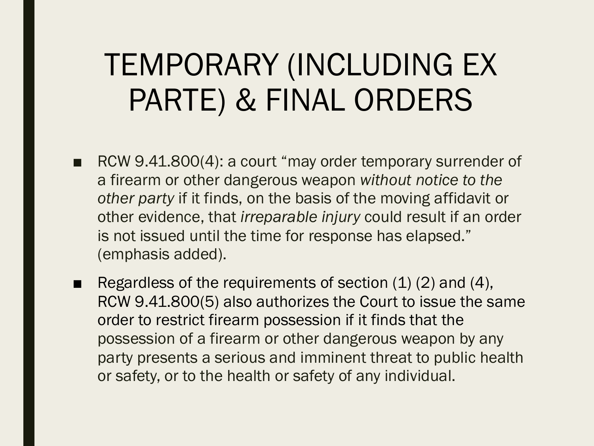#### TEMPORARY (INCLUDING EX PARTE) & FINAL ORDERS

- RCW 9.41.800(4): a court "may order temporary surrender of a firearm or other dangerous weapon *without notice to the other party* if it finds, on the basis of the moving affidavit or other evidence, that *irreparable injury* could result if an order is not issued until the time for response has elapsed." (emphasis added).
- Regardless of the requirements of section  $(1)$   $(2)$  and  $(4)$ , RCW 9.41.800(5) also authorizes the Court to issue the same order to restrict firearm possession if it finds that the possession of a firearm or other dangerous weapon by any party presents a serious and imminent threat to public health or safety, or to the health or safety of any individual.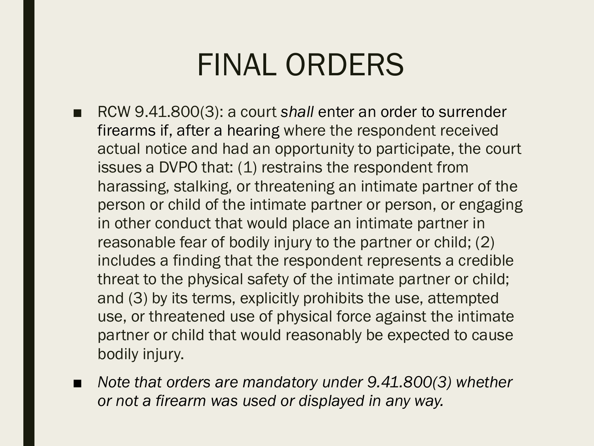#### FINAL ORDERS

- RCW 9.41.800(3): a court *shall* enter an order to surrender firearms if, after a hearing where the respondent received actual notice and had an opportunity to participate, the court issues a DVPO that: (1) restrains the respondent from harassing, stalking, or threatening an intimate partner of the person or child of the intimate partner or person, or engaging in other conduct that would place an intimate partner in reasonable fear of bodily injury to the partner or child; (2) includes a finding that the respondent represents a credible threat to the physical safety of the intimate partner or child; and (3) by its terms, explicitly prohibits the use, attempted use, or threatened use of physical force against the intimate partner or child that would reasonably be expected to cause bodily injury.
- *Note that orders are mandatory under 9.41.800(3) whether or not a firearm was used or displayed in any way.*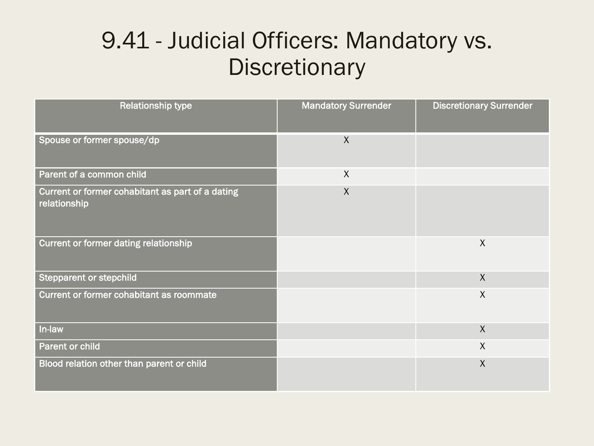#### 9.41 - Judicial Officers: Mandatory vs. **Discretionary**

| <b>Relationship type</b>                                         | <b>Mandatory Surrender</b> | <b>Discretionary Surrender</b> |
|------------------------------------------------------------------|----------------------------|--------------------------------|
| Spouse or former spouse/dp                                       | $\sf X$                    |                                |
| Parent of a common child                                         | $\mathsf{X}$               |                                |
| Current or former cohabitant as part of a dating<br>relationship | $\sf X$                    |                                |
| <b>Current or former dating relationship</b>                     |                            | $\sf X$                        |
| <b>Stepparent or stepchild</b>                                   |                            | $\sf X$                        |
| Current or former cohabitant as roommate                         |                            | $\sf X$                        |
| In-law                                                           |                            | $\sf X$                        |
| Parent or child                                                  |                            | $\chi$                         |
| Blood relation other than parent or child                        |                            | $\sf X$                        |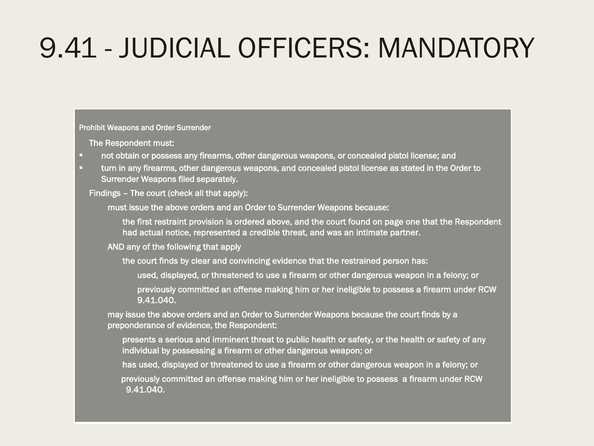#### 9.41 - JUDICIAL OFFICERS: MANDATORY

Prohibit Weapons and Order Surrender

The Respondent must:

§ not obtain or possess any firearms, other dangerous weapons, or concealed pistol license; and

turn in any firearms, other dangerous weapons, and concealed pistol license as stated in the Order to Surrender Weapons filed separately.

Findings – The court (check all that apply):

must issue the above orders and an Order to Surrender Weapons because:

the first restraint provision is ordered above, and the court found on page one that the Respondent had actual notice, represented a credible threat, and was an intimate partner.

AND any of the following that apply

the court finds by clear and convincing evidence that the restrained person has:

used, displayed, or threatened to use a firearm or other dangerous weapon in a felony; or

previously committed an offense making him or her ineligible to possess a firearm under RCW 9.41.040.

may issue the above orders and an Order to Surrender Weapons because the court finds by a preponderance of evidence, the Respondent:

presents a serious and imminent threat to public health or safety, or the health or safety of any individual by possessing a firearm or other dangerous weapon; or

has used, displayed or threatened to use a firearm or other dangerous weapon in a felony; or

previously committed an offense making him or her ineligible to possess a firearm under RCW 9.41.040.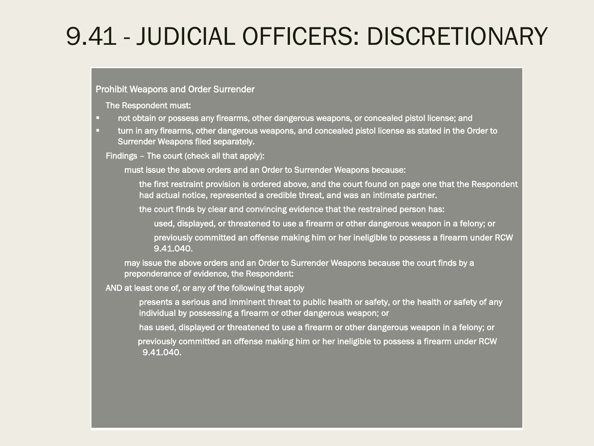#### 9.41 - JUDICIAL OFFICERS: DISCRETIONARY

#### Prohibit Weapons and Order Surrender

The Respondent must:

- **•** not obtain or possess any firearms, other dangerous weapons, or concealed pistol license; and
- **turn in any firearms, other dangerous weapons, and concealed pistol license as stated in the Order to** Surrender Weapons filed separately.

Findings – The court (check all that apply):

must issue the above orders and an Order to Surrender Weapons because:

the first restraint provision is ordered above, and the court found on page one that the Respondent had actual notice, represented a credible threat, and was an intimate partner.

the court finds by clear and convincing evidence that the restrained person has:

used, displayed, or threatened to use a firearm or other dangerous weapon in a felony; or

previously committed an offense making him or her ineligible to possess a firearm under RCW 9.41.040.

may issue the above orders and an Order to Surrender Weapons because the court finds by a preponderance of evidence, the Respondent:

AND at least one of, or any of the following that apply

presents a serious and imminent threat to public health or safety, or the health or safety of any individual by possessing a firearm or other dangerous weapon; or

has used, displayed or threatened to use a firearm or other dangerous weapon in a felony; or

previously committed an offense making him or her ineligible to possess a firearm under RCW 9.41.040.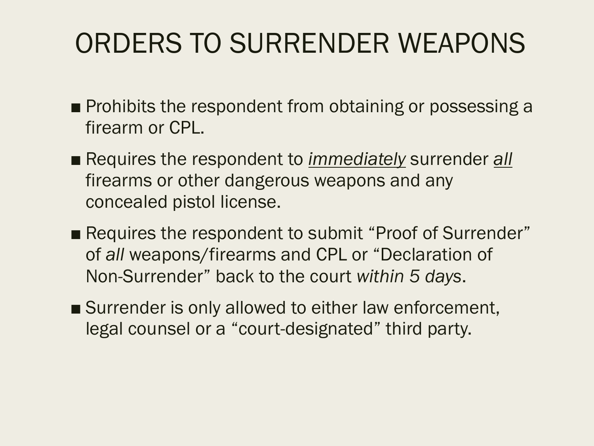#### ORDERS TO SURRENDER WEAPONS

- Prohibits the respondent from obtaining or possessing a firearm or CPL.
- Requires the respondent to *immediately* surrender *all* firearms or other dangerous weapons and any concealed pistol license.
- Requires the respondent to submit "Proof of Surrender" of *all* weapons/firearms and CPL or "Declaration of Non-Surrender" back to the court *within 5 days*.
- Surrender is only allowed to either law enforcement, legal counsel or a "court-designated" third party.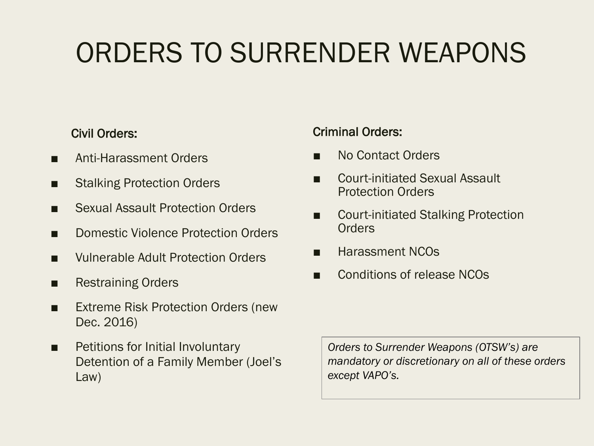#### ORDERS TO SURRENDER WEAPONS

#### Civil Orders:

- Anti-Harassment Orders
- Stalking Protection Orders
- **Sexual Assault Protection Orders**
- Domestic Violence Protection Orders
- Vulnerable Adult Protection Orders
- Restraining Orders
- Extreme Risk Protection Orders (new Dec. 2016)
- Petitions for Initial Involuntary Detention of a Family Member (Joel's Law)

#### Criminal Orders:

- No Contact Orders
- Court-initiated Sexual Assault Protection Orders
- Court-initiated Stalking Protection **Orders**
- Harassment NCOs
- Conditions of release NCOs

*Orders to Surrender Weapons (OTSW's) are mandatory or discretionary on all of these orders except VAPO's.*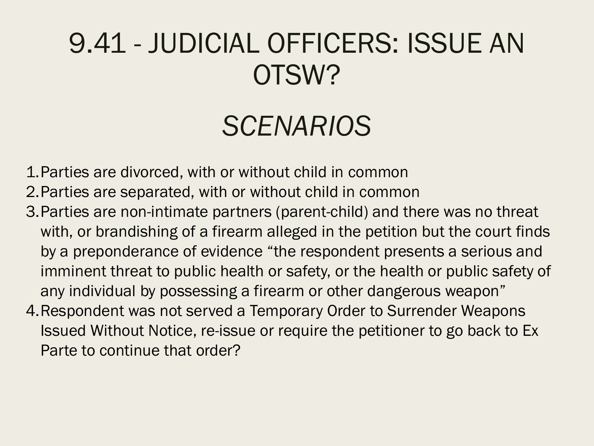#### 9.41 - JUDICIAL OFFICERS: ISSUE AN OTSW?

#### *SCENARIOS*

1.Parties are divorced, with or without child in common

2.Parties are separated, with or without child in common

- 3.Parties are non-intimate partners (parent-child) and there was no threat with, or brandishing of a firearm alleged in the petition but the court finds by a preponderance of evidence "the respondent presents a serious and imminent threat to public health or safety, or the health or public safety of any individual by possessing a firearm or other dangerous weapon"
- 4.Respondent was not served a Temporary Order to Surrender Weapons Issued Without Notice, re-issue or require the petitioner to go back to Ex Parte to continue that order?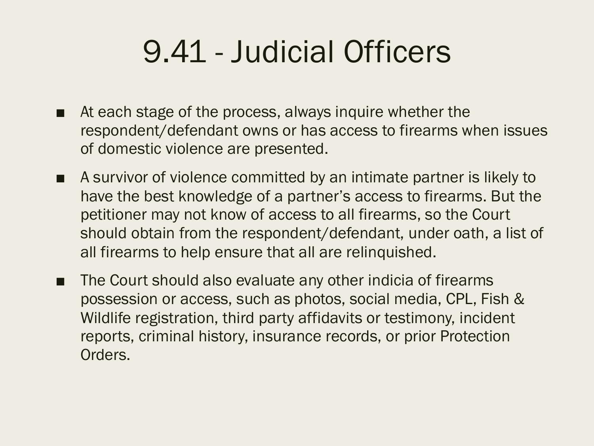- At each stage of the process, always inquire whether the respondent/defendant owns or has access to firearms when issues of domestic violence are presented.
- A survivor of violence committed by an intimate partner is likely to have the best knowledge of a partner's access to firearms. But the petitioner may not know of access to all firearms, so the Court should obtain from the respondent/defendant, under oath, a list of all firearms to help ensure that all are relinquished.
- The Court should also evaluate any other indicia of firearms possession or access, such as photos, social media, CPL, Fish & Wildlife registration, third party affidavits or testimony, incident reports, criminal history, insurance records, or prior Protection Orders.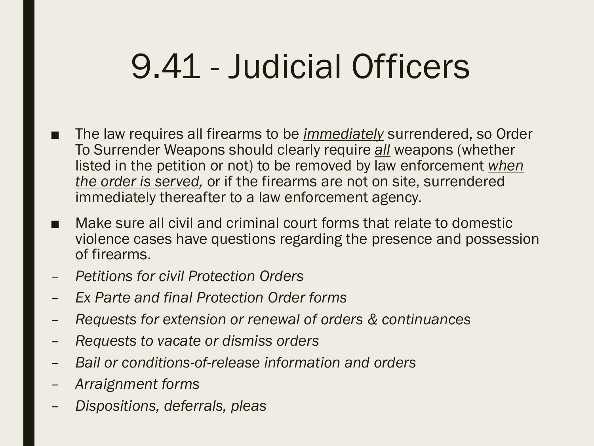- The law requires all firearms to be *immediately* surrendered, so Order To Surrender Weapons should clearly require *all* weapons (whether listed in the petition or not) to be removed by law enforcement *when the order is served,* or if the firearms are not on site, surrendered immediately thereafter to a law enforcement agency.
- Make sure all civil and criminal court forms that relate to domestic violence cases have questions regarding the presence and possession of firearms.
- *Petitions for civil Protection Orders*
- *Ex Parte and final Protection Order forms*
- *Requests for extension or renewal of orders & continuances*
- *Requests to vacate or dismiss orders*
- *Bail or conditions-of-release information and orders*
- *Arraignment forms*
- *Dispositions, deferrals, pleas*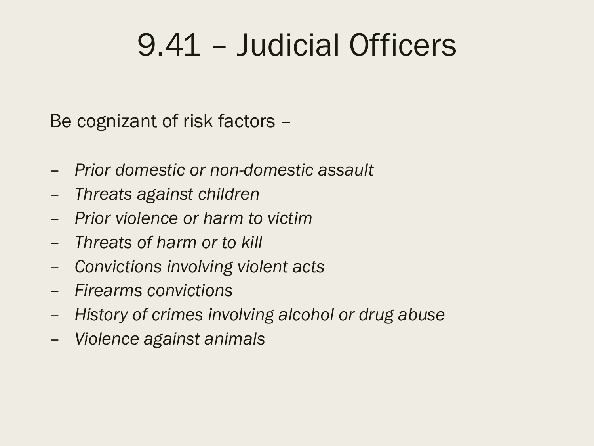Be cognizant of risk factors –

- *Prior domestic or non-domestic assault*
- *Threats against children*
- *Prior violence or harm to victim*
- *Threats of harm or to kill*
- *Convictions involving violent acts*
- *Firearms convictions*
- *History of crimes involving alcohol or drug abuse*
- *Violence against animals*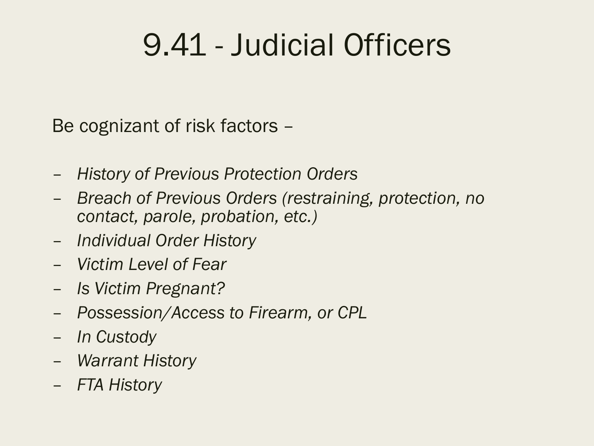Be cognizant of risk factors –

- *History of Previous Protection Orders*
- *Breach of Previous Orders (restraining, protection, no contact, parole, probation, etc.)*
- *Individual Order History*
- *Victim Level of Fear*
- *Is Victim Pregnant?*
- *Possession/Access to Firearm, or CPL*
- *In Custody*
- *Warrant History*
- *FTA History*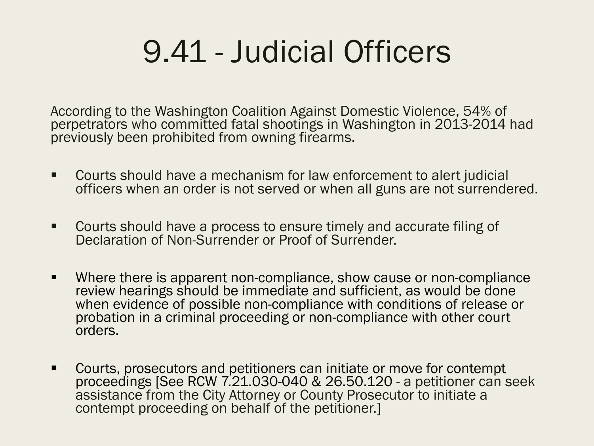According to the Washington Coalition Against Domestic Violence, 54% of perpetrators who committed fatal shootings in Washington in 2013-2014 had previously been prohibited from owning firearms.

- Courts should have a mechanism for law enforcement to alert judicial officers when an order is not served or when all guns are not surrendered.
- § Courts should have a process to ensure timely and accurate filing of Declaration of Non-Surrender or Proof of Surrender.
- Where there is apparent non-compliance, show cause or non-compliance review hearings should be immediate and sufficient, as would be done when evidence of possible non-compliance with conditions of release or probation in a criminal proceeding or non-compliance with other court orders.
- Courts, prosecutors and petitioners can initiate or move for contempt proceedings [See RCW 7.21.030-040 & 26.50.120 - a petitioner can seek assistance from the City Attorney or County Prosecutor to initiate a contempt proceeding on behalf of the petitioner.]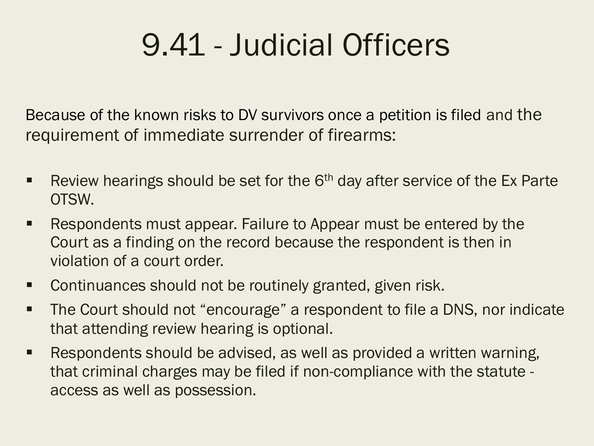Because of the known risks to DV survivors once a petition is filed and the requirement of immediate surrender of firearms:

- Review hearings should be set for the  $6<sup>th</sup>$  day after service of the Ex Parte OTSW.
- Respondents must appear. Failure to Appear must be entered by the Court as a finding on the record because the respondent is then in violation of a court order.
- Continuances should not be routinely granted, given risk.
- The Court should not "encourage" a respondent to file a DNS, nor indicate that attending review hearing is optional.
- Respondents should be advised, as well as provided a written warning, that criminal charges may be filed if non-compliance with the statute access as well as possession.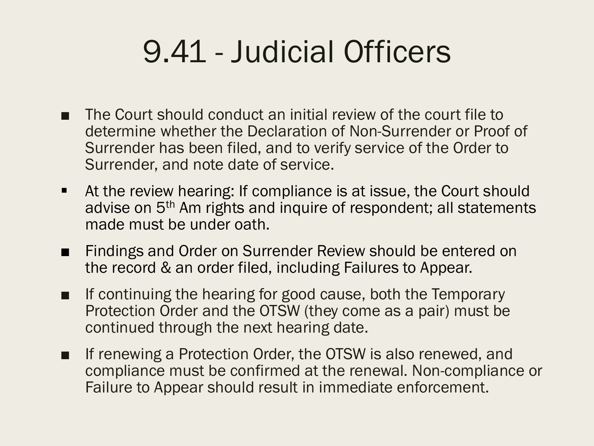- The Court should conduct an initial review of the court file to determine whether the Declaration of Non-Surrender or Proof of Surrender has been filed, and to verify service of the Order to Surrender, and note date of service.
- At the review hearing: If compliance is at issue, the Court should advise on 5<sup>th</sup> Am rights and inquire of respondent; all statements made must be under oath.
- Findings and Order on Surrender Review should be entered on the record & an order filed, including Failures to Appear.
- If continuing the hearing for good cause, both the Temporary Protection Order and the OTSW (they come as a pair) must be continued through the next hearing date.
- If renewing a Protection Order, the OTSW is also renewed, and compliance must be confirmed at the renewal. Non-compliance or Failure to Appear should result in immediate enforcement.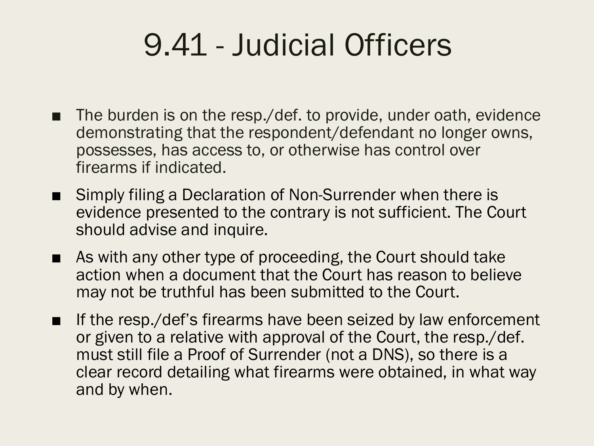- The burden is on the resp./def. to provide, under oath, evidence demonstrating that the respondent/defendant no longer owns, possesses, has access to, or otherwise has control over firearms if indicated.
- Simply filing a Declaration of Non-Surrender when there is evidence presented to the contrary is not sufficient. The Court should advise and inquire.
- As with any other type of proceeding, the Court should take action when a document that the Court has reason to believe may not be truthful has been submitted to the Court.
- If the resp./def's firearms have been seized by law enforcement or given to a relative with approval of the Court, the resp./def. must still file a Proof of Surrender (not a DNS), so there is a clear record detailing what firearms were obtained, in what way and by when.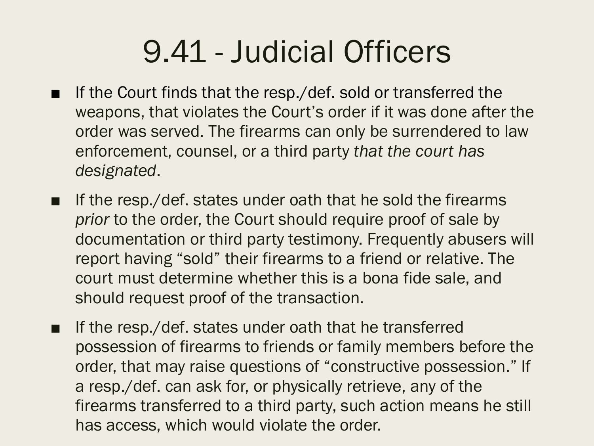- If the Court finds that the resp./def. sold or transferred the weapons, that violates the Court's order if it was done after the order was served. The firearms can only be surrendered to law enforcement, counsel, or a third party *that the court has designated*.
- If the resp./def. states under oath that he sold the firearms *prior* to the order, the Court should require proof of sale by documentation or third party testimony. Frequently abusers will report having "sold" their firearms to a friend or relative. The court must determine whether this is a bona fide sale, and should request proof of the transaction.
- If the resp./def. states under oath that he transferred possession of firearms to friends or family members before the order, that may raise questions of "constructive possession." If a resp./def. can ask for, or physically retrieve, any of the firearms transferred to a third party, such action means he still has access, which would violate the order.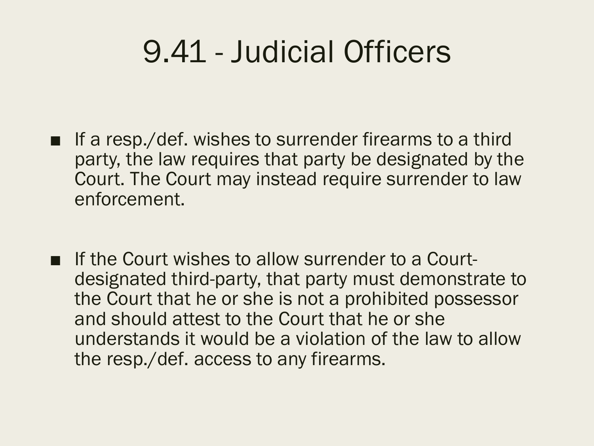- If a resp./def. wishes to surrender firearms to a third party, the law requires that party be designated by the Court. The Court may instead require surrender to law enforcement.
- If the Court wishes to allow surrender to a Courtdesignated third-party, that party must demonstrate to the Court that he or she is not a prohibited possessor and should attest to the Court that he or she understands it would be a violation of the law to allow the resp./def. access to any firearms.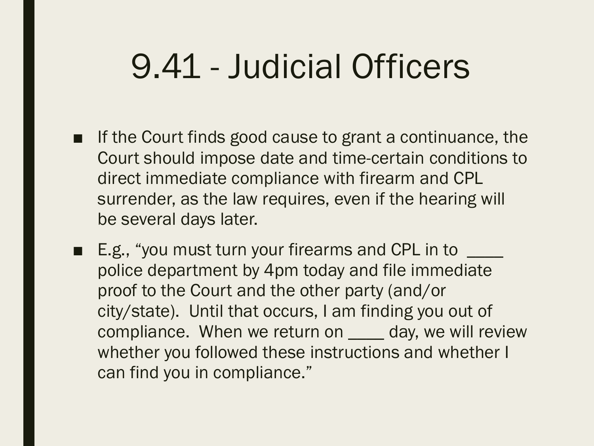- If the Court finds good cause to grant a continuance, the Court should impose date and time-certain conditions to direct immediate compliance with firearm and CPL surrender, as the law requires, even if the hearing will be several days later.
- E.g., "you must turn your firearms and CPL in to police department by 4pm today and file immediate proof to the Court and the other party (and/or city/state). Until that occurs, I am finding you out of compliance. When we return on \_\_\_\_ day, we will review whether you followed these instructions and whether I can find you in compliance."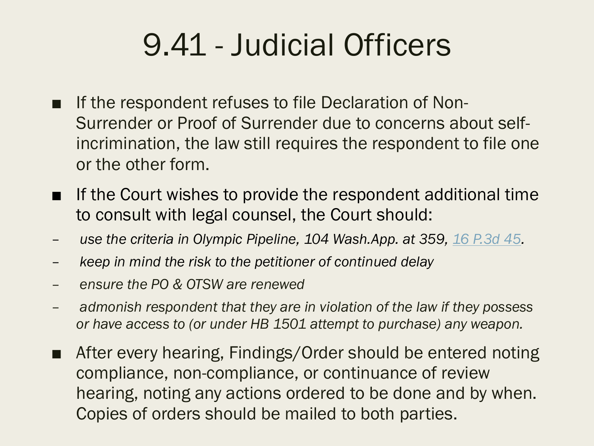- If the respondent refuses to file Declaration of Non-Surrender or Proof of Surrender due to concerns about selfincrimination, the law still requires the respondent to file one or the other form.
- If the Court wishes to provide the respondent additional time to consult with legal counsel, the Court should:
- *use the criteria in Olympic Pipeline, 104 Wash.App. at 359, 16 P.3d 45.*
- *keep in mind the risk to the petitioner of continued delay*
- *ensure the PO & OTSW are renewed*
- *admonish respondent that they are in violation of the law if they possess or have access to (or under HB 1501 attempt to purchase) any weapon.*
- After every hearing, Findings/Order should be entered noting compliance, non-compliance, or continuance of review hearing, noting any actions ordered to be done and by when. Copies of orders should be mailed to both parties.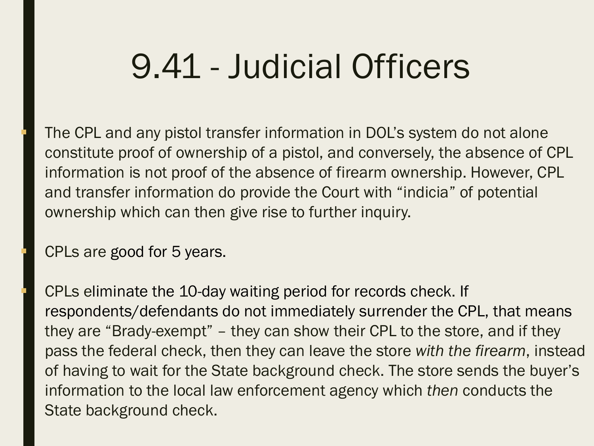The CPL and any pistol transfer information in DOL's system do not alone constitute proof of ownership of a pistol, and conversely, the absence of CPL information is not proof of the absence of firearm ownership. However, CPL and transfer information do provide the Court with "indicia" of potential ownership which can then give rise to further inquiry.

§ CPLs are good for 5 years.

§ CPLs eliminate the 10-day waiting period for records check. If respondents/defendants do not immediately surrender the CPL, that means they are "Brady-exempt" – they can show their CPL to the store, and if they pass the federal check, then they can leave the store *with the firearm*, instead of having to wait for the State background check. The store sends the buyer's information to the local law enforcement agency which *then* conducts the State background check.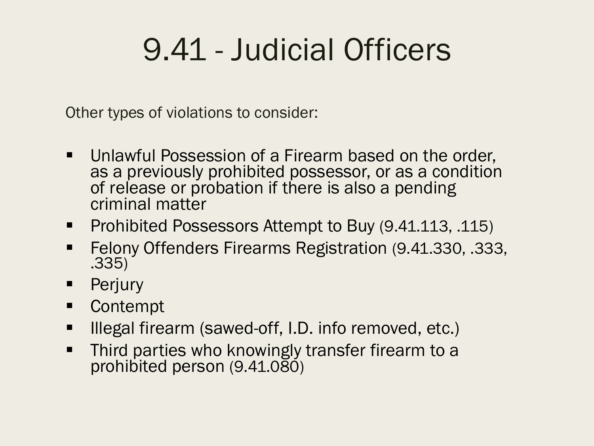Other types of violations to consider:

- Unlawful Possession of a Firearm based on the order, as a previously prohibited possessor, or as a condition of release or probation if there is also a pending criminal matter
- Prohibited Possessors Attempt to Buy (9.41.113, .115)
- Felony Offenders Firearms Registration (9.41.330, .333, .335)
- Perjury
- Contempt
- Illegal firearm (sawed-off, I.D. info removed, etc.)
- Third parties who knowingly transfer firearm to a prohibited person (9.41.080)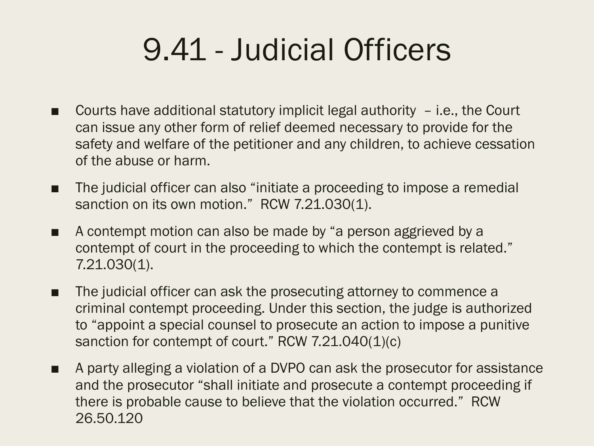- Courts have additional statutory implicit legal authority  $-$  i.e., the Court can issue any other form of relief deemed necessary to provide for the safety and welfare of the petitioner and any children, to achieve cessation of the abuse or harm.
- The judicial officer can also "initiate a proceeding to impose a remedial sanction on its own motion." RCW 7.21.030(1).
- A contempt motion can also be made by "a person aggrieved by a contempt of court in the proceeding to which the contempt is related." 7.21.030(1).
- The judicial officer can ask the prosecuting attorney to commence a criminal contempt proceeding. Under this section, the judge is authorized to "appoint a special counsel to prosecute an action to impose a punitive sanction for contempt of court." RCW 7.21.040(1)(c)
- A party alleging a violation of a DVPO can ask the prosecutor for assistance and the prosecutor "shall initiate and prosecute a contempt proceeding if there is probable cause to believe that the violation occurred." RCW 26.50.120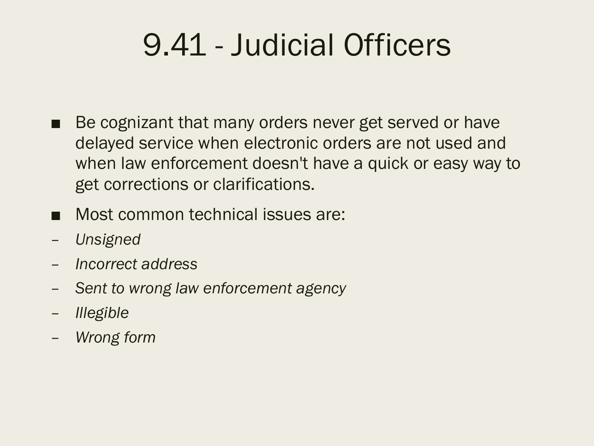- Be cognizant that many orders never get served or have delayed service when electronic orders are not used and when law enforcement doesn't have a quick or easy way to get corrections or clarifications.
- Most common technical issues are:
- *Unsigned*
- *Incorrect address*
- *Sent to wrong law enforcement agency*
- *Illegible*
- *Wrong form*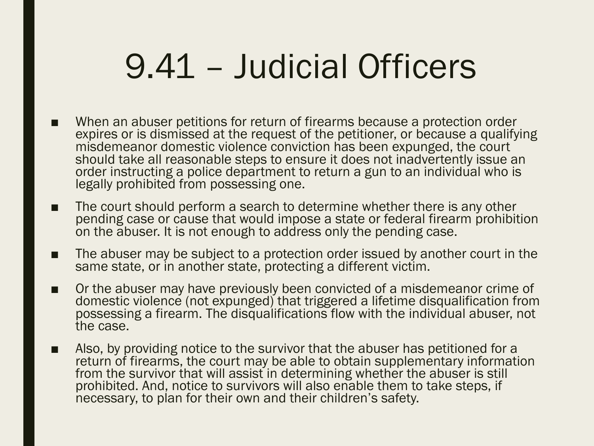- When an abuser petitions for return of firearms because a protection order expires or is dismissed at the request of the petitioner, or because a qualifying misdemeanor domestic violence conviction has been expunged, the court should take all reasonable steps to ensure it does not inadvertently issue an order instructing a police department to return a gun to an individual who is legally prohibited from possessing one.
- The court should perform a search to determine whether there is any other pending case or cause that would impose a state or federal firearm prohibition on the abuser. It is not enough to address only the pending case.
- The abuser may be subject to a protection order issued by another court in the same state, or in another state, protecting a different victim.
- Or the abuser may have previously been convicted of a misdemeanor crime of domestic violence (not expunged) that triggered a lifetime disqualification from possessing a firearm. The disqualifications flow with the individual abuser, not the case.
- Also, by providing notice to the survivor that the abuser has petitioned for a return of firearms, the court may be able to obtain supplementary information from the survivor that will assist in determining whether the abuser is still prohibited. And, notice to survivors will also enable them to take steps, if necessary, to plan for their own and their children's safety.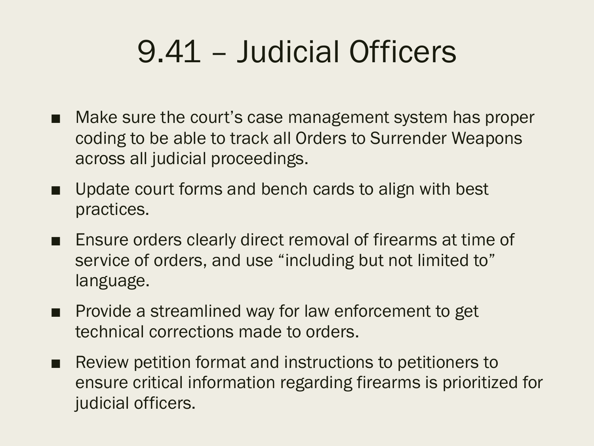- Make sure the court's case management system has proper coding to be able to track all Orders to Surrender Weapons across all judicial proceedings.
- Update court forms and bench cards to align with best practices.
- Ensure orders clearly direct removal of firearms at time of service of orders, and use "including but not limited to" language.
- Provide a streamlined way for law enforcement to get technical corrections made to orders.
- Review petition format and instructions to petitioners to ensure critical information regarding firearms is prioritized for judicial officers.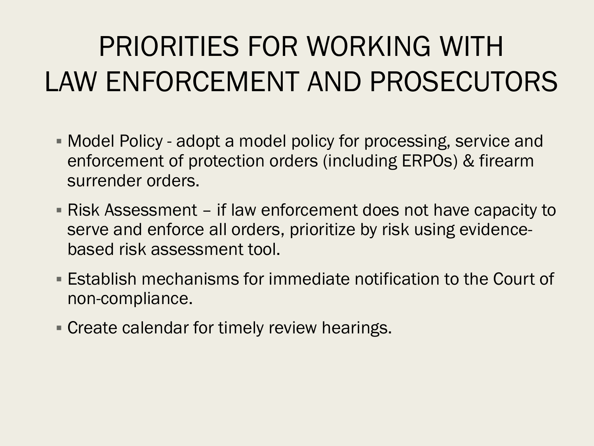- § Model Policy adopt a model policy for processing, service and enforcement of protection orders (including ERPOs) & firearm surrender orders.
- § Risk Assessment if law enforcement does not have capacity to serve and enforce all orders, prioritize by risk using evidencebased risk assessment tool.
- Establish mechanisms for immediate notification to the Court of non-compliance.
- **Create calendar for timely review hearings.**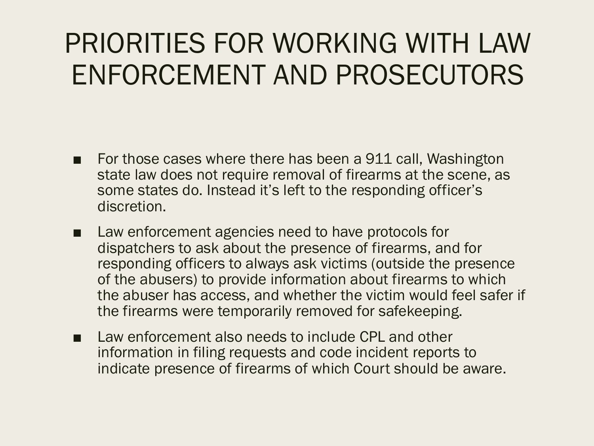- For those cases where there has been a 911 call, Washington state law does not require removal of firearms at the scene, as some states do. Instead it's left to the responding officer's discretion.
- Law enforcement agencies need to have protocols for dispatchers to ask about the presence of firearms, and for responding officers to always ask victims (outside the presence of the abusers) to provide information about firearms to which the abuser has access, and whether the victim would feel safer if the firearms were temporarily removed for safekeeping.
- Law enforcement also needs to include CPL and other information in filing requests and code incident reports to indicate presence of firearms of which Court should be aware.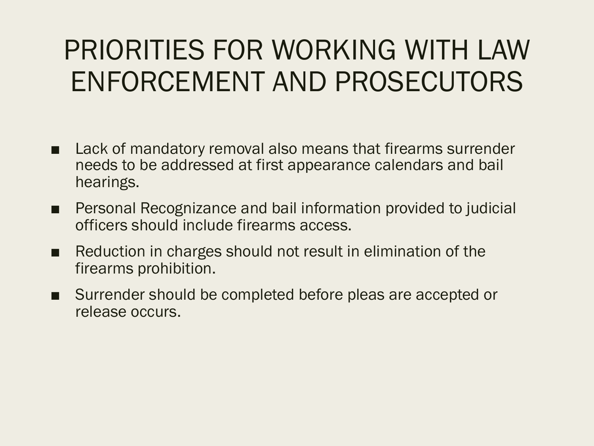- Lack of mandatory removal also means that firearms surrender needs to be addressed at first appearance calendars and bail hearings.
- Personal Recognizance and bail information provided to judicial officers should include firearms access.
- Reduction in charges should not result in elimination of the firearms prohibition.
- Surrender should be completed before pleas are accepted or release occurs.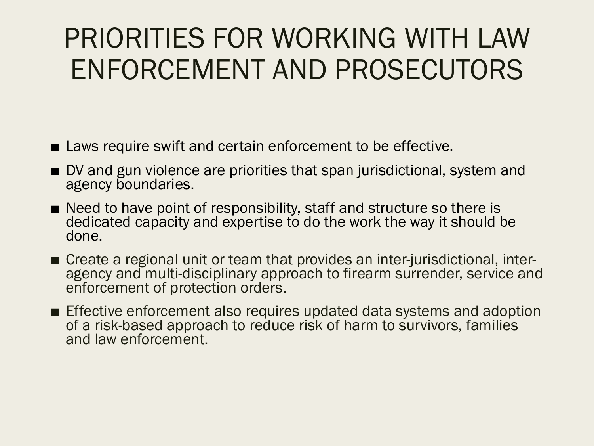- Laws require swift and certain enforcement to be effective.
- DV and gun violence are priorities that span jurisdictional, system and agency boundaries.
- Need to have point of responsibility, staff and structure so there is dedicated capacity and expertise to do the work the way it should be done.
- Create a regional unit or team that provides an inter-jurisdictional, inter-<br>agency and multi-disciplinary approach to firearm surrender, service and enforcement of protection orders.
- Effective enforcement also requires updated data systems and adoption of a risk-based approach to reduce risk of harm to survivors, families and law enforcement.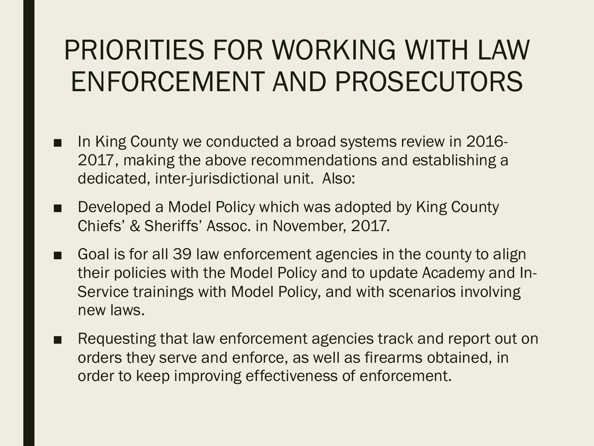- In King County we conducted a broad systems review in 2016-2017, making the above recommendations and establishing a dedicated, inter-jurisdictional unit. Also:
- Developed a Model Policy which was adopted by King County Chiefs' & Sheriffs' Assoc. in November, 2017.
- Goal is for all 39 law enforcement agencies in the county to align their policies with the Model Policy and to update Academy and In-Service trainings with Model Policy, and with scenarios involving new laws.
- Requesting that law enforcement agencies track and report out on orders they serve and enforce, as well as firearms obtained, in order to keep improving effectiveness of enforcement.